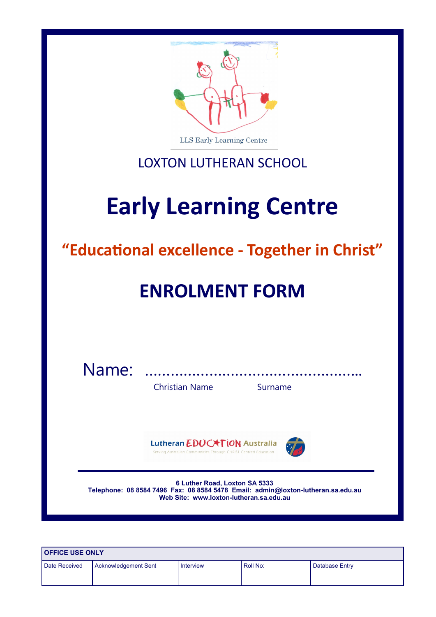

| <b>OFFICE USE ONLY</b> |                             |                  |          |                |  |  |  |  |  |  |
|------------------------|-----------------------------|------------------|----------|----------------|--|--|--|--|--|--|
| Date Received          | <b>Acknowledgement Sent</b> | <b>Interview</b> | Roll No: | Database Entry |  |  |  |  |  |  |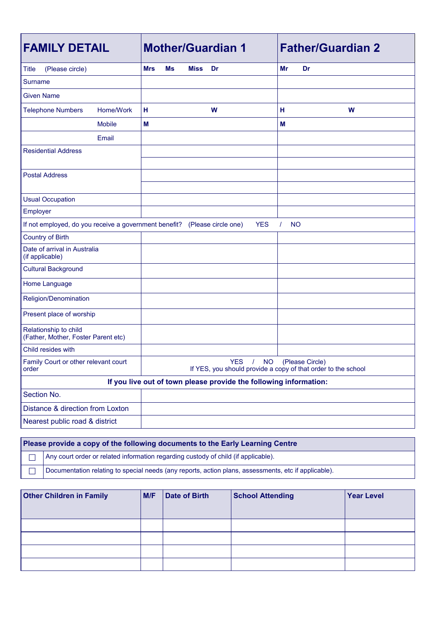| <b>FAMILY DETAIL</b>                                                      | <b>Mother/Guardian 1</b>                                          | <b>Father/Guardian 2</b>                                                                  |  |  |  |  |  |
|---------------------------------------------------------------------------|-------------------------------------------------------------------|-------------------------------------------------------------------------------------------|--|--|--|--|--|
| <b>Title</b><br>(Please circle)                                           | <b>Mrs</b><br>Ms<br>Miss<br>Dr                                    | Mr<br>Dr                                                                                  |  |  |  |  |  |
| <b>Surname</b>                                                            |                                                                   |                                                                                           |  |  |  |  |  |
| <b>Given Name</b>                                                         |                                                                   |                                                                                           |  |  |  |  |  |
| Home/Work<br><b>Telephone Numbers</b>                                     | н<br>W                                                            | н<br>W                                                                                    |  |  |  |  |  |
| <b>Mobile</b>                                                             | M                                                                 | M                                                                                         |  |  |  |  |  |
| Email                                                                     |                                                                   |                                                                                           |  |  |  |  |  |
| <b>Residential Address</b>                                                |                                                                   |                                                                                           |  |  |  |  |  |
|                                                                           |                                                                   |                                                                                           |  |  |  |  |  |
| <b>Postal Address</b>                                                     |                                                                   |                                                                                           |  |  |  |  |  |
|                                                                           |                                                                   |                                                                                           |  |  |  |  |  |
| <b>Usual Occupation</b>                                                   |                                                                   |                                                                                           |  |  |  |  |  |
| Employer                                                                  |                                                                   |                                                                                           |  |  |  |  |  |
| If not employed, do you receive a government benefit? (Please circle one) | <b>YES</b>                                                        | <b>NO</b>                                                                                 |  |  |  |  |  |
| <b>Country of Birth</b>                                                   |                                                                   |                                                                                           |  |  |  |  |  |
| Date of arrival in Australia<br>(if applicable)                           |                                                                   |                                                                                           |  |  |  |  |  |
| <b>Cultural Background</b>                                                |                                                                   |                                                                                           |  |  |  |  |  |
| Home Language                                                             |                                                                   |                                                                                           |  |  |  |  |  |
| Religion/Denomination                                                     |                                                                   |                                                                                           |  |  |  |  |  |
| Present place of worship                                                  |                                                                   |                                                                                           |  |  |  |  |  |
| Relationship to child<br>(Father, Mother, Foster Parent etc)              |                                                                   |                                                                                           |  |  |  |  |  |
| Child resides with                                                        |                                                                   |                                                                                           |  |  |  |  |  |
| Family Court or other relevant court<br>order                             |                                                                   | YES / NO (Please Circle)<br>If YES, you should provide a copy of that order to the school |  |  |  |  |  |
|                                                                           | If you live out of town please provide the following information: |                                                                                           |  |  |  |  |  |
| Section No.                                                               |                                                                   |                                                                                           |  |  |  |  |  |
| Distance & direction from Loxton                                          |                                                                   |                                                                                           |  |  |  |  |  |
| Nearest public road & district                                            |                                                                   |                                                                                           |  |  |  |  |  |

| Please provide a copy of the following documents to the Early Learning Centre                        |  |  |  |  |  |  |
|------------------------------------------------------------------------------------------------------|--|--|--|--|--|--|
| Any court order or related information regarding custody of child (if applicable).                   |  |  |  |  |  |  |
| Documentation relating to special needs (any reports, action plans, assessments, etc if applicable). |  |  |  |  |  |  |

| <b>Other Children in Family</b> | M/F | <b>Date of Birth</b> | <b>School Attending</b> | <b>Year Level</b> |
|---------------------------------|-----|----------------------|-------------------------|-------------------|
|                                 |     |                      |                         |                   |
|                                 |     |                      |                         |                   |
|                                 |     |                      |                         |                   |
|                                 |     |                      |                         |                   |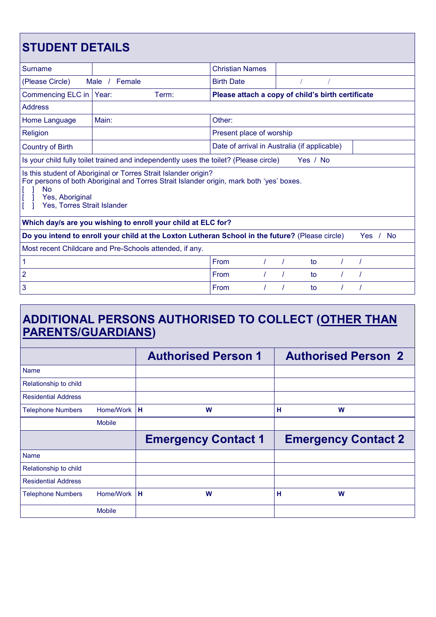| <b>STUDENT DETAILS</b>                                                                                                                                                                                              |                                                   |                          |                                              |  |          |  |      |           |  |  |  |
|---------------------------------------------------------------------------------------------------------------------------------------------------------------------------------------------------------------------|---------------------------------------------------|--------------------------|----------------------------------------------|--|----------|--|------|-----------|--|--|--|
| <b>Surname</b>                                                                                                                                                                                                      |                                                   |                          | <b>Christian Names</b>                       |  |          |  |      |           |  |  |  |
| (Please Circle)                                                                                                                                                                                                     | Male<br>Female<br>$\overline{1}$                  |                          | <b>Birth Date</b>                            |  |          |  |      |           |  |  |  |
| Commencing ELC in                                                                                                                                                                                                   | Please attach a copy of child's birth certificate |                          |                                              |  |          |  |      |           |  |  |  |
| <b>Address</b>                                                                                                                                                                                                      |                                                   |                          |                                              |  |          |  |      |           |  |  |  |
| Home Language                                                                                                                                                                                                       | Main:                                             | Other:                   |                                              |  |          |  |      |           |  |  |  |
| Religion                                                                                                                                                                                                            |                                                   | Present place of worship |                                              |  |          |  |      |           |  |  |  |
| <b>Country of Birth</b>                                                                                                                                                                                             |                                                   |                          | Date of arrival in Australia (if applicable) |  |          |  |      |           |  |  |  |
| Is your child fully toilet trained and independently uses the toilet? (Please circle)                                                                                                                               |                                                   |                          |                                              |  | Yes / No |  |      |           |  |  |  |
| Is this student of Aboriginal or Torres Strait Islander origin?<br>For persons of both Aboriginal and Torres Strait Islander origin, mark both 'yes' boxes.<br>No<br>Yes, Aboriginal<br>Yes, Torres Strait Islander |                                                   |                          |                                              |  |          |  |      |           |  |  |  |
| Which day/s are you wishing to enroll your child at ELC for?                                                                                                                                                        |                                                   |                          |                                              |  |          |  |      |           |  |  |  |
| Do you intend to enroll your child at the Loxton Lutheran School in the future? (Please circle)                                                                                                                     |                                                   |                          |                                              |  |          |  | Yes. | <b>No</b> |  |  |  |
| Most recent Childcare and Pre-Schools attended, if any.                                                                                                                                                             |                                                   |                          |                                              |  |          |  |      |           |  |  |  |
| $\overline{1}$                                                                                                                                                                                                      |                                                   |                          | From                                         |  | to       |  |      |           |  |  |  |
| $\overline{2}$                                                                                                                                                                                                      |                                                   |                          | From                                         |  | to       |  |      |           |  |  |  |
| 3                                                                                                                                                                                                                   |                                                   |                          | From                                         |  | to       |  |      |           |  |  |  |

## **ADDITIONAL PERSONS AUTHORISED TO COLLECT (OTHER THAN PARENTS/GUARDIANS)**

|                            |               | <b>Authorised Person 1</b> | <b>Authorised Person 2</b> |  |  |  |  |  |  |
|----------------------------|---------------|----------------------------|----------------------------|--|--|--|--|--|--|
| <b>Name</b>                |               |                            |                            |  |  |  |  |  |  |
| Relationship to child      |               |                            |                            |  |  |  |  |  |  |
| <b>Residential Address</b> |               |                            |                            |  |  |  |  |  |  |
| <b>Telephone Numbers</b>   | Home/Work     | Iн.<br>W                   | н<br>W                     |  |  |  |  |  |  |
|                            | <b>Mobile</b> |                            |                            |  |  |  |  |  |  |
|                            |               |                            |                            |  |  |  |  |  |  |
|                            |               | <b>Emergency Contact 1</b> | <b>Emergency Contact 2</b> |  |  |  |  |  |  |
| <b>Name</b>                |               |                            |                            |  |  |  |  |  |  |
| Relationship to child      |               |                            |                            |  |  |  |  |  |  |
| <b>Residential Address</b> |               |                            |                            |  |  |  |  |  |  |
| Telephone Numbers          | Home/Work   H | W                          | н<br>W                     |  |  |  |  |  |  |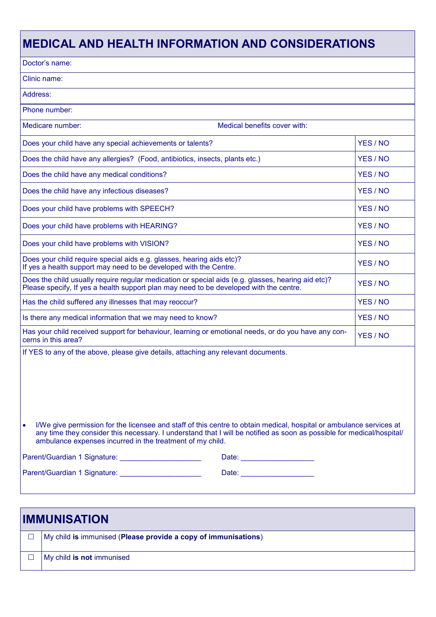# **MEDICAL AND HEALTH INFORMATION AND CONSIDERATIONS**

| Doctor's name:                                                                                                                                                                                                                                                                                                         |          |          |  |  |  |  |  |  |
|------------------------------------------------------------------------------------------------------------------------------------------------------------------------------------------------------------------------------------------------------------------------------------------------------------------------|----------|----------|--|--|--|--|--|--|
| Clinic name:                                                                                                                                                                                                                                                                                                           |          |          |  |  |  |  |  |  |
| Address:                                                                                                                                                                                                                                                                                                               |          |          |  |  |  |  |  |  |
| Phone number:                                                                                                                                                                                                                                                                                                          |          |          |  |  |  |  |  |  |
| Medical benefits cover with:<br>Medicare number:                                                                                                                                                                                                                                                                       |          |          |  |  |  |  |  |  |
| Does your child have any special achievements or talents?                                                                                                                                                                                                                                                              | YES / NO |          |  |  |  |  |  |  |
| Does the child have any allergies? (Food, antibiotics, insects, plants etc.)                                                                                                                                                                                                                                           | YES / NO |          |  |  |  |  |  |  |
| Does the child have any medical conditions?                                                                                                                                                                                                                                                                            |          | YES / NO |  |  |  |  |  |  |
| Does the child have any infectious diseases?                                                                                                                                                                                                                                                                           | YES / NO |          |  |  |  |  |  |  |
| Does your child have problems with SPEECH?                                                                                                                                                                                                                                                                             | YES / NO |          |  |  |  |  |  |  |
| Does your child have problems with HEARING?                                                                                                                                                                                                                                                                            | YES / NO |          |  |  |  |  |  |  |
| Does your child have problems with VISION?                                                                                                                                                                                                                                                                             | YES / NO |          |  |  |  |  |  |  |
| Does your child require special aids e.g. glasses, hearing aids etc)?<br>If yes a health support may need to be developed with the Centre.                                                                                                                                                                             | YES / NO |          |  |  |  |  |  |  |
| Does the child usually require regular medication or special aids (e.g. glasses, hearing aid etc)?<br>Please specify, If yes a health support plan may need to be developed with the centre.                                                                                                                           |          | YES / NO |  |  |  |  |  |  |
| Has the child suffered any illnesses that may reoccur?                                                                                                                                                                                                                                                                 |          | YES / NO |  |  |  |  |  |  |
| Is there any medical information that we may need to know?                                                                                                                                                                                                                                                             |          | YES / NO |  |  |  |  |  |  |
| Has your child received support for behaviour, learning or emotional needs, or do you have any con-<br>cerns in this area?                                                                                                                                                                                             |          | YES / NO |  |  |  |  |  |  |
| If YES to any of the above, please give details, attaching any relevant documents.                                                                                                                                                                                                                                     |          |          |  |  |  |  |  |  |
|                                                                                                                                                                                                                                                                                                                        |          |          |  |  |  |  |  |  |
| I/We give permission for the licensee and staff of this centre to obtain medical, hospital or ambulance services at<br>$\bullet$<br>any time they consider this necessary. I understand that I will be notified as soon as possible for medical/hospital/<br>ambulance expenses incurred in the treatment of my child. |          |          |  |  |  |  |  |  |
| Parent/Guardian 1 Signature: ________________________                                                                                                                                                                                                                                                                  |          |          |  |  |  |  |  |  |
|                                                                                                                                                                                                                                                                                                                        |          |          |  |  |  |  |  |  |
|                                                                                                                                                                                                                                                                                                                        |          |          |  |  |  |  |  |  |

|        | <b>IMMUNISATION</b>                                            |  |  |  |  |  |
|--------|----------------------------------------------------------------|--|--|--|--|--|
| $\Box$ | My child is immunised (Please provide a copy of immunisations) |  |  |  |  |  |
| $\Box$ | My child is not immunised                                      |  |  |  |  |  |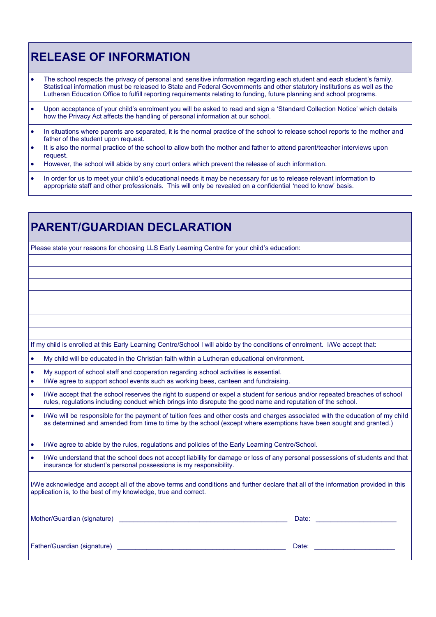# **RELEASE OF INFORMATION**

- The school respects the privacy of personal and sensitive information regarding each student and each student's family. Statistical information must be released to State and Federal Governments and other statutory institutions as well as the Lutheran Education Office to fulfill reporting requirements relating to funding, future planning and school programs.
- Upon acceptance of your child's enrolment you will be asked to read and sign a 'Standard Collection Notice' which details how the Privacy Act affects the handling of personal information at our school.
- In situations where parents are separated, it is the normal practice of the school to release school reports to the mother and father of the student upon request.
- It is also the normal practice of the school to allow both the mother and father to attend parent/teacher interviews upon request.
- However, the school will abide by any court orders which prevent the release of such information.
- In order for us to meet your child's educational needs it may be necessary for us to release relevant information to appropriate staff and other professionals. This will only be revealed on a confidential 'need to know' basis.

| PARENT/GUARDIAN DECLARATION |                                                                                                                                                                                                                                                     |  |  |  |  |  |  |  |
|-----------------------------|-----------------------------------------------------------------------------------------------------------------------------------------------------------------------------------------------------------------------------------------------------|--|--|--|--|--|--|--|
|                             | Please state your reasons for choosing LLS Early Learning Centre for your child's education:                                                                                                                                                        |  |  |  |  |  |  |  |
|                             |                                                                                                                                                                                                                                                     |  |  |  |  |  |  |  |
|                             |                                                                                                                                                                                                                                                     |  |  |  |  |  |  |  |
|                             |                                                                                                                                                                                                                                                     |  |  |  |  |  |  |  |
|                             |                                                                                                                                                                                                                                                     |  |  |  |  |  |  |  |
|                             |                                                                                                                                                                                                                                                     |  |  |  |  |  |  |  |
|                             |                                                                                                                                                                                                                                                     |  |  |  |  |  |  |  |
|                             |                                                                                                                                                                                                                                                     |  |  |  |  |  |  |  |
|                             | If my child is enrolled at this Early Learning Centre/School I will abide by the conditions of enrolment. I/We accept that:                                                                                                                         |  |  |  |  |  |  |  |
| $\bullet$                   | My child will be educated in the Christian faith within a Lutheran educational environment.                                                                                                                                                         |  |  |  |  |  |  |  |
| $\bullet$<br>$\bullet$      | My support of school staff and cooperation regarding school activities is essential.<br>I/We agree to support school events such as working bees, canteen and fundraising.                                                                          |  |  |  |  |  |  |  |
| $\bullet$                   | I/We accept that the school reserves the right to suspend or expel a student for serious and/or repeated breaches of school<br>rules, regulations including conduct which brings into disrepute the good name and reputation of the school.         |  |  |  |  |  |  |  |
| $\bullet$                   | I/We will be responsible for the payment of tuition fees and other costs and charges associated with the education of my child<br>as determined and amended from time to time by the school (except where exemptions have been sought and granted.) |  |  |  |  |  |  |  |
| $\bullet$                   | I/We agree to abide by the rules, regulations and policies of the Early Learning Centre/School.                                                                                                                                                     |  |  |  |  |  |  |  |
| $\bullet$                   | I/We understand that the school does not accept liability for damage or loss of any personal possessions of students and that<br>insurance for student's personal possessions is my responsibility.                                                 |  |  |  |  |  |  |  |
|                             | I/We acknowledge and accept all of the above terms and conditions and further declare that all of the information provided in this<br>application is, to the best of my knowledge, true and correct.                                                |  |  |  |  |  |  |  |
|                             | Date: <u>_____________________</u>                                                                                                                                                                                                                  |  |  |  |  |  |  |  |
|                             | Date:                                                                                                                                                                                                                                               |  |  |  |  |  |  |  |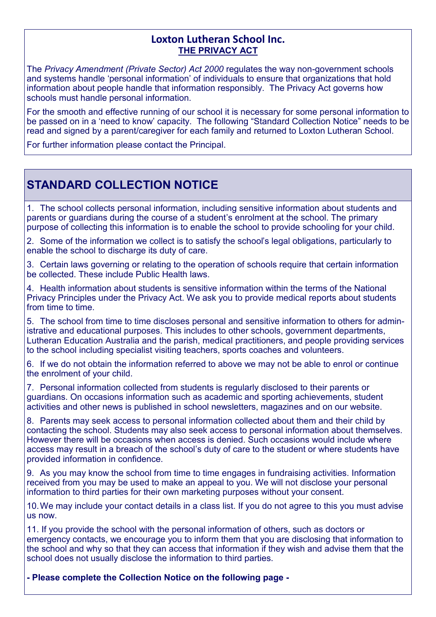### **Loxton Lutheran School Inc. THE PRIVACY ACT**

The *Privacy Amendment (Private Sector) Act 2000* regulates the way non-government schools and systems handle 'personal information' of individuals to ensure that organizations that hold information about people handle that information responsibly. The Privacy Act governs how schools must handle personal information.

For the smooth and effective running of our school it is necessary for some personal information to be passed on in a 'need to know' capacity. The following "Standard Collection Notice" needs to be read and signed by a parent/caregiver for each family and returned to Loxton Lutheran School.

For further information please contact the Principal.

# **STANDARD COLLECTION NOTICE**

1. The school collects personal information, including sensitive information about students and parents or guardians during the course of a student's enrolment at the school. The primary purpose of collecting this information is to enable the school to provide schooling for your child.

2. Some of the information we collect is to satisfy the school's legal obligations, particularly to enable the school to discharge its duty of care.

3. Certain laws governing or relating to the operation of schools require that certain information be collected. These include Public Health laws.

4. Health information about students is sensitive information within the terms of the National Privacy Principles under the Privacy Act. We ask you to provide medical reports about students from time to time.

5. The school from time to time discloses personal and sensitive information to others for administrative and educational purposes. This includes to other schools, government departments, Lutheran Education Australia and the parish, medical practitioners, and people providing services to the school including specialist visiting teachers, sports coaches and volunteers.

6. If we do not obtain the information referred to above we may not be able to enrol or continue the enrolment of your child.

7. Personal information collected from students is regularly disclosed to their parents or guardians. On occasions information such as academic and sporting achievements, student activities and other news is published in school newsletters, magazines and on our website.

8. Parents may seek access to personal information collected about them and their child by contacting the school. Students may also seek access to personal information about themselves. However there will be occasions when access is denied. Such occasions would include where access may result in a breach of the school's duty of care to the student or where students have provided information in confidence.

9. As you may know the school from time to time engages in fundraising activities. Information received from you may be used to make an appeal to you. We will not disclose your personal information to third parties for their own marketing purposes without your consent.

10.We may include your contact details in a class list. If you do not agree to this you must advise us now.

11. If you provide the school with the personal information of others, such as doctors or emergency contacts, we encourage you to inform them that you are disclosing that information to the school and why so that they can access that information if they wish and advise them that the school does not usually disclose the information to third parties.

**- Please complete the Collection Notice on the following page -**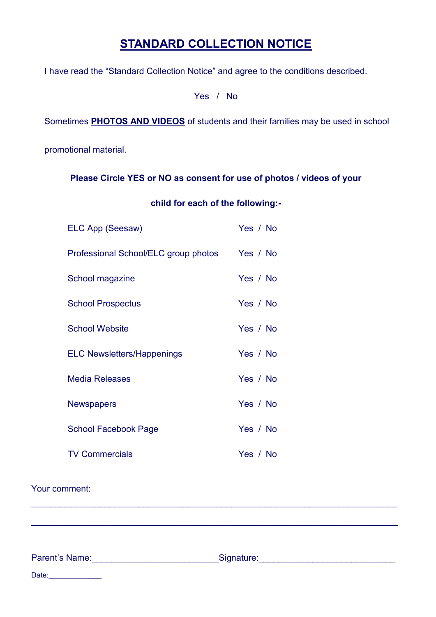## **STANDARD COLLECTION NOTICE**

I have read the "Standard Collection Notice" and agree to the conditions described.

Yes / No

Sometimes **PHOTOS AND VIDEOS** of students and their families may be used in school

promotional material.

#### **Please Circle YES or NO as consent for use of photos / videos of your**

#### **child for each of the following:-**

| ELC App (Seesaw)                              | Yes / No |
|-----------------------------------------------|----------|
| Professional School/ELC group photos Yes / No |          |
| School magazine                               | Yes / No |
| <b>School Prospectus</b>                      | Yes / No |
| <b>School Website</b>                         | Yes / No |
| <b>ELC Newsletters/Happenings</b>             | Yes / No |
| <b>Media Releases</b>                         | Yes / No |
| <b>Newspapers</b>                             | Yes / No |
| <b>School Facebook Page</b>                   | Yes / No |
| <b>TV Commercials</b>                         | Yes / No |

#### Your comment:

Parent's Name:\_\_\_\_\_\_\_\_\_\_\_\_\_\_\_\_\_\_\_\_\_\_\_\_\_\_\_\_\_\_\_\_\_Signature:\_\_\_\_\_\_\_\_\_\_\_\_\_\_\_\_\_\_\_\_\_\_\_

\_\_\_\_\_\_\_\_\_\_\_\_\_\_\_\_\_\_\_\_\_\_\_\_\_\_\_\_\_\_\_\_\_\_\_\_\_\_\_\_\_\_\_\_\_\_\_\_\_\_\_\_\_\_\_\_\_\_\_\_\_\_\_\_\_\_\_\_\_\_\_\_\_\_\_

 $\mathcal{L}_\mathcal{L} = \mathcal{L}_\mathcal{L} = \mathcal{L}_\mathcal{L} = \mathcal{L}_\mathcal{L} = \mathcal{L}_\mathcal{L} = \mathcal{L}_\mathcal{L} = \mathcal{L}_\mathcal{L} = \mathcal{L}_\mathcal{L} = \mathcal{L}_\mathcal{L} = \mathcal{L}_\mathcal{L} = \mathcal{L}_\mathcal{L} = \mathcal{L}_\mathcal{L} = \mathcal{L}_\mathcal{L} = \mathcal{L}_\mathcal{L} = \mathcal{L}_\mathcal{L} = \mathcal{L}_\mathcal{L} = \mathcal{L}_\mathcal{L}$ 

Date:\_\_\_\_\_\_\_\_\_\_\_\_\_